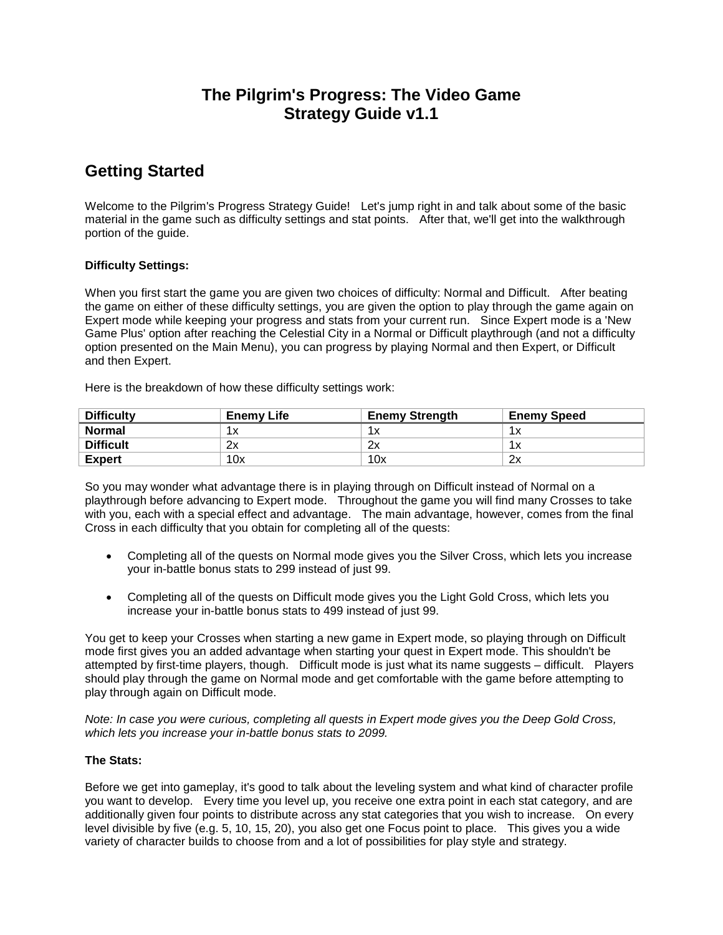# **The Pilgrim's Progress: The Video Game Strategy Guide v1.1**

# **Getting Started**

Welcome to the Pilgrim's Progress Strategy Guide! Let's jump right in and talk about some of the basic material in the game such as difficulty settings and stat points. After that, we'll get into the walkthrough portion of the guide.

# **Difficulty Settings:**

When you first start the game you are given two choices of difficulty: Normal and Difficult. After beating the game on either of these difficulty settings, you are given the option to play through the game again on Expert mode while keeping your progress and stats from your current run. Since Expert mode is a 'New Game Plus' option after reaching the Celestial City in a Normal or Difficult playthrough (and not a difficulty option presented on the Main Menu), you can progress by playing Normal and then Expert, or Difficult and then Expert.

Here is the breakdown of how these difficulty settings work:

| <b>Difficulty</b> | <b>Enemy Life</b> | <b>Enemy Strength</b> | <b>Enemy Speed</b> |
|-------------------|-------------------|-----------------------|--------------------|
| <b>Normal</b>     | 1 v               |                       |                    |
| <b>Difficult</b>  | 2x                | 2x                    |                    |
| <b>Expert</b>     | 10x               | 10x                   | 2x                 |

So you may wonder what advantage there is in playing through on Difficult instead of Normal on a playthrough before advancing to Expert mode. Throughout the game you will find many Crosses to take with you, each with a special effect and advantage. The main advantage, however, comes from the final Cross in each difficulty that you obtain for completing all of the quests:

- Completing all of the quests on Normal mode gives you the Silver Cross, which lets you increase your in-battle bonus stats to 299 instead of just 99.
- Completing all of the quests on Difficult mode gives you the Light Gold Cross, which lets you increase your in-battle bonus stats to 499 instead of just 99.

You get to keep your Crosses when starting a new game in Expert mode, so playing through on Difficult mode first gives you an added advantage when starting your quest in Expert mode. This shouldn't be attempted by first-time players, though. Difficult mode is just what its name suggests – difficult. Players should play through the game on Normal mode and get comfortable with the game before attempting to play through again on Difficult mode.

*Note: In case you were curious, completing all quests in Expert mode gives you the Deep Gold Cross, which lets you increase your in-battle bonus stats to 2099.*

## **The Stats:**

Before we get into gameplay, it's good to talk about the leveling system and what kind of character profile you want to develop. Every time you level up, you receive one extra point in each stat category, and are additionally given four points to distribute across any stat categories that you wish to increase. On every level divisible by five (e.g. 5, 10, 15, 20), you also get one Focus point to place. This gives you a wide variety of character builds to choose from and a lot of possibilities for play style and strategy.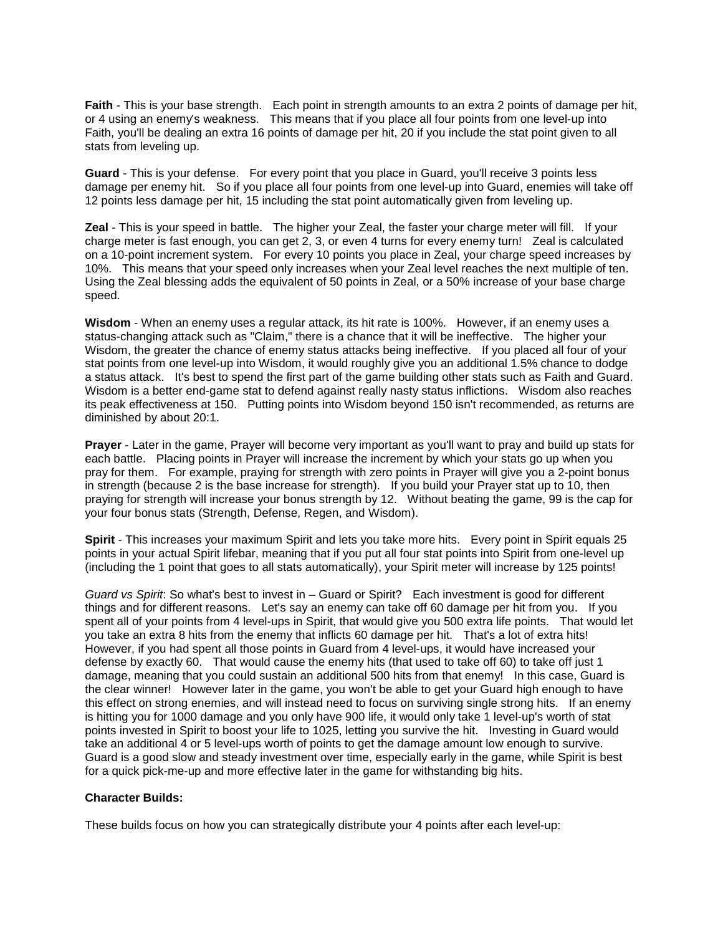**Faith** - This is your base strength. Each point in strength amounts to an extra 2 points of damage per hit, or 4 using an enemy's weakness. This means that if you place all four points from one level-up into Faith, you'll be dealing an extra 16 points of damage per hit, 20 if you include the stat point given to all stats from leveling up.

**Guard** - This is your defense. For every point that you place in Guard, you'll receive 3 points less damage per enemy hit. So if you place all four points from one level-up into Guard, enemies will take off 12 points less damage per hit, 15 including the stat point automatically given from leveling up.

**Zeal** - This is your speed in battle. The higher your Zeal, the faster your charge meter will fill. If your charge meter is fast enough, you can get 2, 3, or even 4 turns for every enemy turn! Zeal is calculated on a 10-point increment system. For every 10 points you place in Zeal, your charge speed increases by 10%. This means that your speed only increases when your Zeal level reaches the next multiple of ten. Using the Zeal blessing adds the equivalent of 50 points in Zeal, or a 50% increase of your base charge speed.

**Wisdom** - When an enemy uses a regular attack, its hit rate is 100%. However, if an enemy uses a status-changing attack such as "Claim," there is a chance that it will be ineffective. The higher your Wisdom, the greater the chance of enemy status attacks being ineffective. If you placed all four of your stat points from one level-up into Wisdom, it would roughly give you an additional 1.5% chance to dodge a status attack. It's best to spend the first part of the game building other stats such as Faith and Guard. Wisdom is a better end-game stat to defend against really nasty status inflictions. Wisdom also reaches its peak effectiveness at 150. Putting points into Wisdom beyond 150 isn't recommended, as returns are diminished by about 20:1.

**Prayer** - Later in the game, Prayer will become very important as you'll want to pray and build up stats for each battle. Placing points in Prayer will increase the increment by which your stats go up when you pray for them. For example, praying for strength with zero points in Prayer will give you a 2-point bonus in strength (because 2 is the base increase for strength). If you build your Prayer stat up to 10, then praying for strength will increase your bonus strength by 12. Without beating the game, 99 is the cap for your four bonus stats (Strength, Defense, Regen, and Wisdom).

**Spirit** - This increases your maximum Spirit and lets you take more hits. Every point in Spirit equals 25 points in your actual Spirit lifebar, meaning that if you put all four stat points into Spirit from one-level up (including the 1 point that goes to all stats automatically), your Spirit meter will increase by 125 points!

*Guard vs Spirit*: So what's best to invest in – Guard or Spirit? Each investment is good for different things and for different reasons. Let's say an enemy can take off 60 damage per hit from you. If you spent all of your points from 4 level-ups in Spirit, that would give you 500 extra life points. That would let you take an extra 8 hits from the enemy that inflicts 60 damage per hit. That's a lot of extra hits! However, if you had spent all those points in Guard from 4 level-ups, it would have increased your defense by exactly 60. That would cause the enemy hits (that used to take off 60) to take off just 1 damage, meaning that you could sustain an additional 500 hits from that enemy! In this case, Guard is the clear winner! However later in the game, you won't be able to get your Guard high enough to have this effect on strong enemies, and will instead need to focus on surviving single strong hits. If an enemy is hitting you for 1000 damage and you only have 900 life, it would only take 1 level-up's worth of stat points invested in Spirit to boost your life to 1025, letting you survive the hit. Investing in Guard would take an additional 4 or 5 level-ups worth of points to get the damage amount low enough to survive. Guard is a good slow and steady investment over time, especially early in the game, while Spirit is best for a quick pick-me-up and more effective later in the game for withstanding big hits.

### **Character Builds:**

These builds focus on how you can strategically distribute your 4 points after each level-up: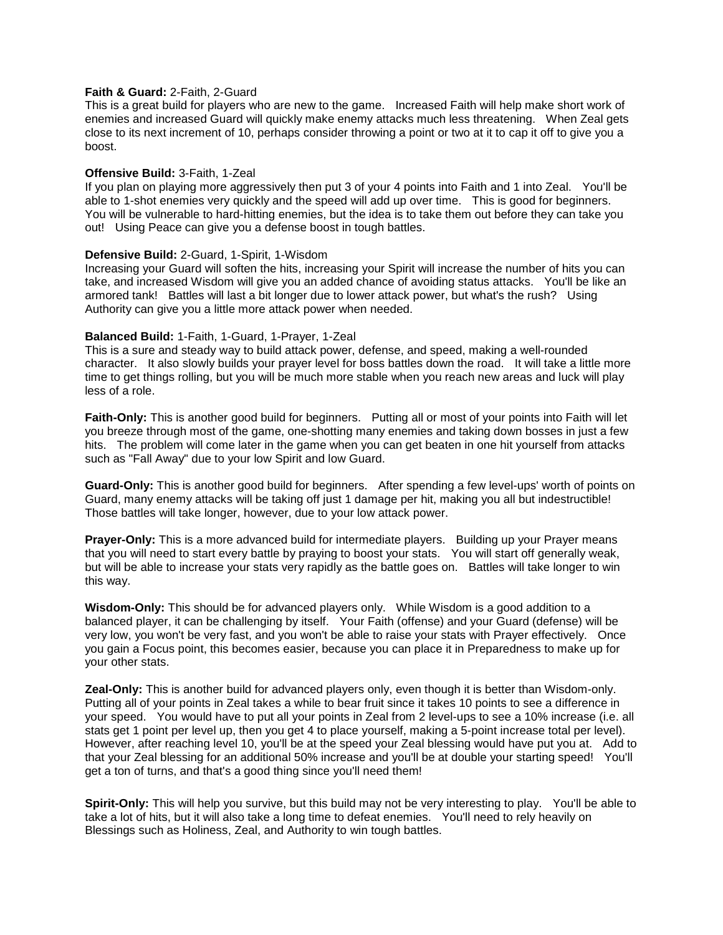#### **Faith & Guard:** 2-Faith, 2-Guard

This is a great build for players who are new to the game. Increased Faith will help make short work of enemies and increased Guard will quickly make enemy attacks much less threatening. When Zeal gets close to its next increment of 10, perhaps consider throwing a point or two at it to cap it off to give you a boost.

#### **Offensive Build:** 3-Faith, 1-Zeal

If you plan on playing more aggressively then put 3 of your 4 points into Faith and 1 into Zeal. You'll be able to 1-shot enemies very quickly and the speed will add up over time. This is good for beginners. You will be vulnerable to hard-hitting enemies, but the idea is to take them out before they can take you out! Using Peace can give you a defense boost in tough battles.

#### **Defensive Build:** 2-Guard, 1-Spirit, 1-Wisdom

Increasing your Guard will soften the hits, increasing your Spirit will increase the number of hits you can take, and increased Wisdom will give you an added chance of avoiding status attacks. You'll be like an armored tank! Battles will last a bit longer due to lower attack power, but what's the rush? Using Authority can give you a little more attack power when needed.

#### **Balanced Build:** 1-Faith, 1-Guard, 1-Prayer, 1-Zeal

This is a sure and steady way to build attack power, defense, and speed, making a well-rounded character. It also slowly builds your prayer level for boss battles down the road. It will take a little more time to get things rolling, but you will be much more stable when you reach new areas and luck will play less of a role.

**Faith-Only:** This is another good build for beginners. Putting all or most of your points into Faith will let you breeze through most of the game, one-shotting many enemies and taking down bosses in just a few hits. The problem will come later in the game when you can get beaten in one hit yourself from attacks such as "Fall Away" due to your low Spirit and low Guard.

**Guard-Only:** This is another good build for beginners. After spending a few level-ups' worth of points on Guard, many enemy attacks will be taking off just 1 damage per hit, making you all but indestructible! Those battles will take longer, however, due to your low attack power.

**Prayer-Only:** This is a more advanced build for intermediate players. Building up your Prayer means that you will need to start every battle by praying to boost your stats. You will start off generally weak, but will be able to increase your stats very rapidly as the battle goes on. Battles will take longer to win this way.

**Wisdom-Only:** This should be for advanced players only. While Wisdom is a good addition to a balanced player, it can be challenging by itself. Your Faith (offense) and your Guard (defense) will be very low, you won't be very fast, and you won't be able to raise your stats with Prayer effectively. Once you gain a Focus point, this becomes easier, because you can place it in Preparedness to make up for your other stats.

**Zeal-Only:** This is another build for advanced players only, even though it is better than Wisdom-only. Putting all of your points in Zeal takes a while to bear fruit since it takes 10 points to see a difference in your speed. You would have to put all your points in Zeal from 2 level-ups to see a 10% increase (i.e. all stats get 1 point per level up, then you get 4 to place yourself, making a 5-point increase total per level). However, after reaching level 10, you'll be at the speed your Zeal blessing would have put you at. Add to that your Zeal blessing for an additional 50% increase and you'll be at double your starting speed! You'll get a ton of turns, and that's a good thing since you'll need them!

**Spirit-Only:** This will help you survive, but this build may not be very interesting to play. You'll be able to take a lot of hits, but it will also take a long time to defeat enemies. You'll need to rely heavily on Blessings such as Holiness, Zeal, and Authority to win tough battles.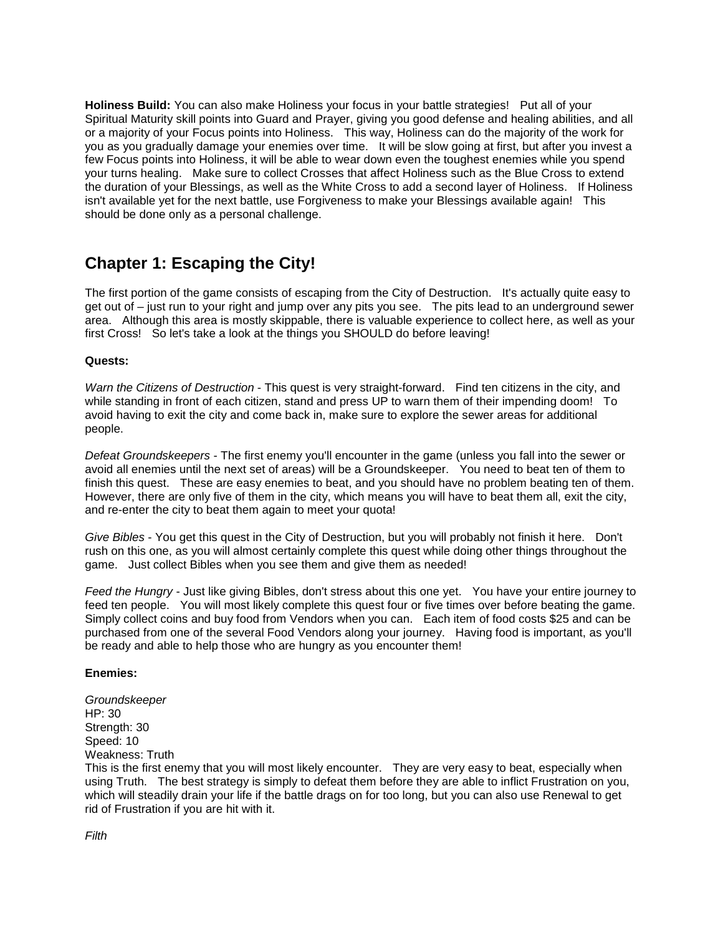**Holiness Build:** You can also make Holiness your focus in your battle strategies! Put all of your Spiritual Maturity skill points into Guard and Prayer, giving you good defense and healing abilities, and all or a majority of your Focus points into Holiness. This way, Holiness can do the majority of the work for you as you gradually damage your enemies over time. It will be slow going at first, but after you invest a few Focus points into Holiness, it will be able to wear down even the toughest enemies while you spend your turns healing. Make sure to collect Crosses that affect Holiness such as the Blue Cross to extend the duration of your Blessings, as well as the White Cross to add a second layer of Holiness. If Holiness isn't available yet for the next battle, use Forgiveness to make your Blessings available again! This should be done only as a personal challenge.

# **Chapter 1: Escaping the City!**

The first portion of the game consists of escaping from the City of Destruction. It's actually quite easy to get out of – just run to your right and jump over any pits you see. The pits lead to an underground sewer area. Although this area is mostly skippable, there is valuable experience to collect here, as well as your first Cross! So let's take a look at the things you SHOULD do before leaving!

## **Quests:**

*Warn the Citizens of Destruction* - This quest is very straight-forward. Find ten citizens in the city, and while standing in front of each citizen, stand and press UP to warn them of their impending doom! To avoid having to exit the city and come back in, make sure to explore the sewer areas for additional people.

*Defeat Groundskeepers* - The first enemy you'll encounter in the game (unless you fall into the sewer or avoid all enemies until the next set of areas) will be a Groundskeeper. You need to beat ten of them to finish this quest. These are easy enemies to beat, and you should have no problem beating ten of them. However, there are only five of them in the city, which means you will have to beat them all, exit the city, and re-enter the city to beat them again to meet your quota!

*Give Bibles* - You get this quest in the City of Destruction, but you will probably not finish it here. Don't rush on this one, as you will almost certainly complete this quest while doing other things throughout the game. Just collect Bibles when you see them and give them as needed!

*Feed the Hungry* - Just like giving Bibles, don't stress about this one yet. You have your entire journey to feed ten people. You will most likely complete this quest four or five times over before beating the game. Simply collect coins and buy food from Vendors when you can. Each item of food costs \$25 and can be purchased from one of the several Food Vendors along your journey. Having food is important, as you'll be ready and able to help those who are hungry as you encounter them!

### **Enemies:**

*Groundskeeper* HP: 30 Strength: 30 Speed: 10 Weakness: Truth

This is the first enemy that you will most likely encounter. They are very easy to beat, especially when using Truth. The best strategy is simply to defeat them before they are able to inflict Frustration on you, which will steadily drain your life if the battle drags on for too long, but you can also use Renewal to get rid of Frustration if you are hit with it.

*Filth*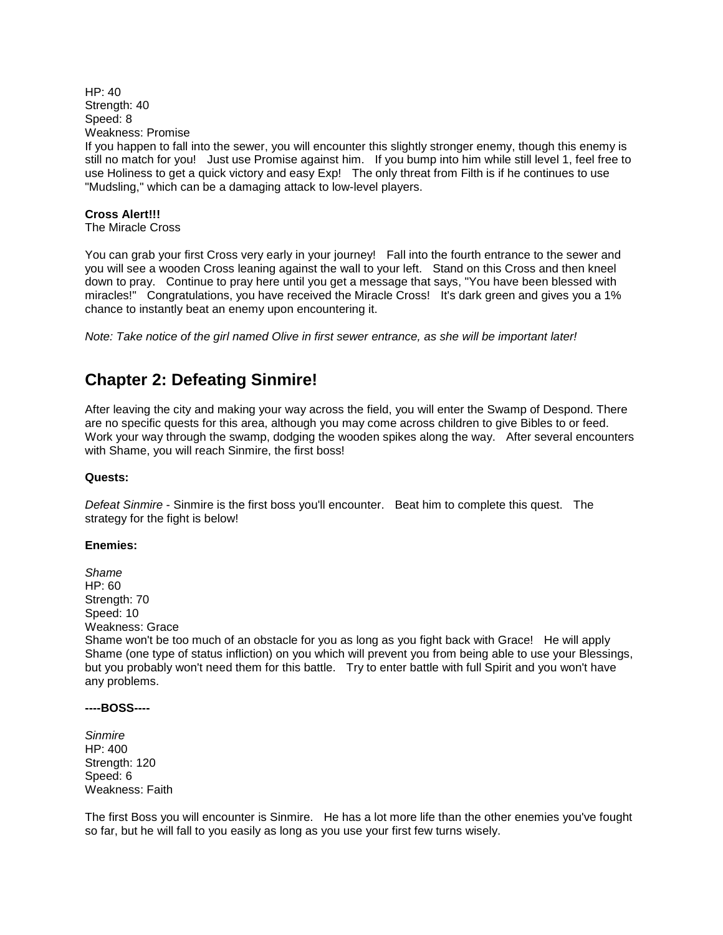$HP: 40$ Strength: 40 Speed: 8 Weakness: Promise

If you happen to fall into the sewer, you will encounter this slightly stronger enemy, though this enemy is still no match for you! Just use Promise against him. If you bump into him while still level 1, feel free to use Holiness to get a quick victory and easy Exp! The only threat from Filth is if he continues to use "Mudsling," which can be a damaging attack to low-level players.

## **Cross Alert!!!**

The Miracle Cross

You can grab your first Cross very early in your journey! Fall into the fourth entrance to the sewer and you will see a wooden Cross leaning against the wall to your left. Stand on this Cross and then kneel down to pray. Continue to pray here until you get a message that says, "You have been blessed with miracles!" Congratulations, you have received the Miracle Cross! It's dark green and gives you a 1% chance to instantly beat an enemy upon encountering it.

*Note: Take notice of the girl named Olive in first sewer entrance, as she will be important later!*

# **Chapter 2: Defeating Sinmire!**

After leaving the city and making your way across the field, you will enter the Swamp of Despond. There are no specific quests for this area, although you may come across children to give Bibles to or feed. Work your way through the swamp, dodging the wooden spikes along the way. After several encounters with Shame, you will reach Sinmire, the first boss!

### **Quests:**

*Defeat Sinmire* - Sinmire is the first boss you'll encounter. Beat him to complete this quest. The strategy for the fight is below!

### **Enemies:**

*Shame* HP: 60 Strength: 70 Speed: 10 Weakness: Grace Shame won't be too much of an obstacle for you as long as you fight back with Grace! He will apply Shame (one type of status infliction) on you which will prevent you from being able to use your Blessings, but you probably won't need them for this battle. Try to enter battle with full Spirit and you won't have any problems.

#### **----BOSS----**

*Sinmire* HP: 400 Strength: 120 Speed: 6 Weakness: Faith

The first Boss you will encounter is Sinmire. He has a lot more life than the other enemies you've fought so far, but he will fall to you easily as long as you use your first few turns wisely.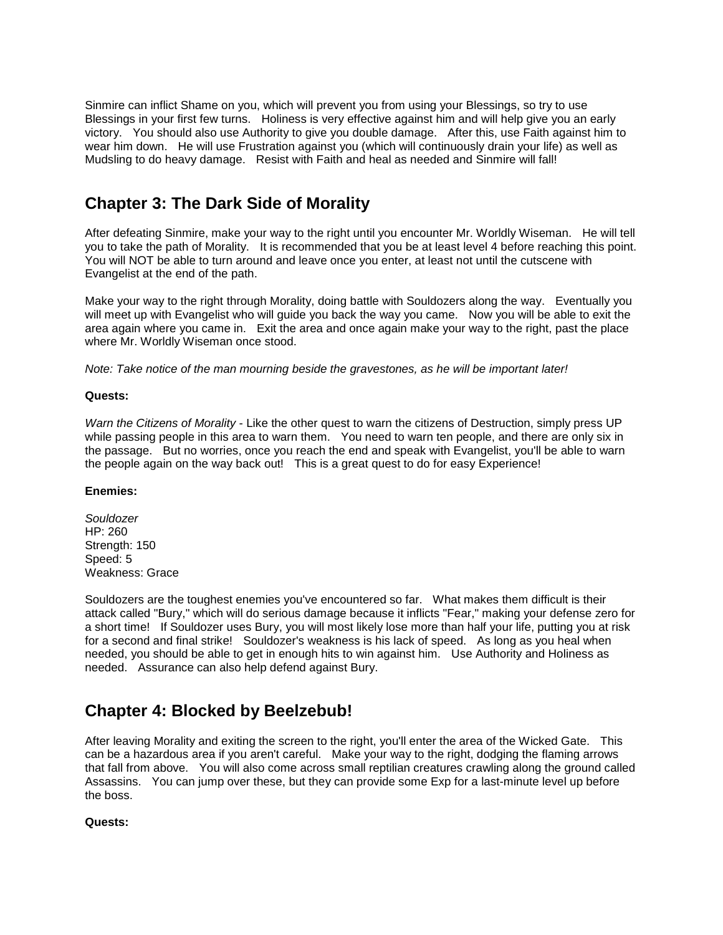Sinmire can inflict Shame on you, which will prevent you from using your Blessings, so try to use Blessings in your first few turns. Holiness is very effective against him and will help give you an early victory. You should also use Authority to give you double damage. After this, use Faith against him to wear him down. He will use Frustration against you (which will continuously drain your life) as well as Mudsling to do heavy damage. Resist with Faith and heal as needed and Sinmire will fall!

# **Chapter 3: The Dark Side of Morality**

After defeating Sinmire, make your way to the right until you encounter Mr. Worldly Wiseman. He will tell you to take the path of Morality. It is recommended that you be at least level 4 before reaching this point. You will NOT be able to turn around and leave once you enter, at least not until the cutscene with Evangelist at the end of the path.

Make your way to the right through Morality, doing battle with Souldozers along the way. Eventually you will meet up with Evangelist who will guide you back the way you came. Now you will be able to exit the area again where you came in. Exit the area and once again make your way to the right, past the place where Mr. Worldly Wiseman once stood.

*Note: Take notice of the man mourning beside the gravestones, as he will be important later!*

## **Quests:**

*Warn the Citizens of Morality* - Like the other quest to warn the citizens of Destruction, simply press UP while passing people in this area to warn them. You need to warn ten people, and there are only six in the passage. But no worries, once you reach the end and speak with Evangelist, you'll be able to warn the people again on the way back out! This is a great quest to do for easy Experience!

## **Enemies:**

*Souldozer* HP: 260 Strength: 150 Speed: 5 Weakness: Grace

Souldozers are the toughest enemies you've encountered so far. What makes them difficult is their attack called "Bury," which will do serious damage because it inflicts "Fear," making your defense zero for a short time! If Souldozer uses Bury, you will most likely lose more than half your life, putting you at risk for a second and final strike! Souldozer's weakness is his lack of speed. As long as you heal when needed, you should be able to get in enough hits to win against him. Use Authority and Holiness as needed. Assurance can also help defend against Bury.

# **Chapter 4: Blocked by Beelzebub!**

After leaving Morality and exiting the screen to the right, you'll enter the area of the Wicked Gate. This can be a hazardous area if you aren't careful. Make your way to the right, dodging the flaming arrows that fall from above. You will also come across small reptilian creatures crawling along the ground called Assassins. You can jump over these, but they can provide some Exp for a last-minute level up before the boss.

## **Quests:**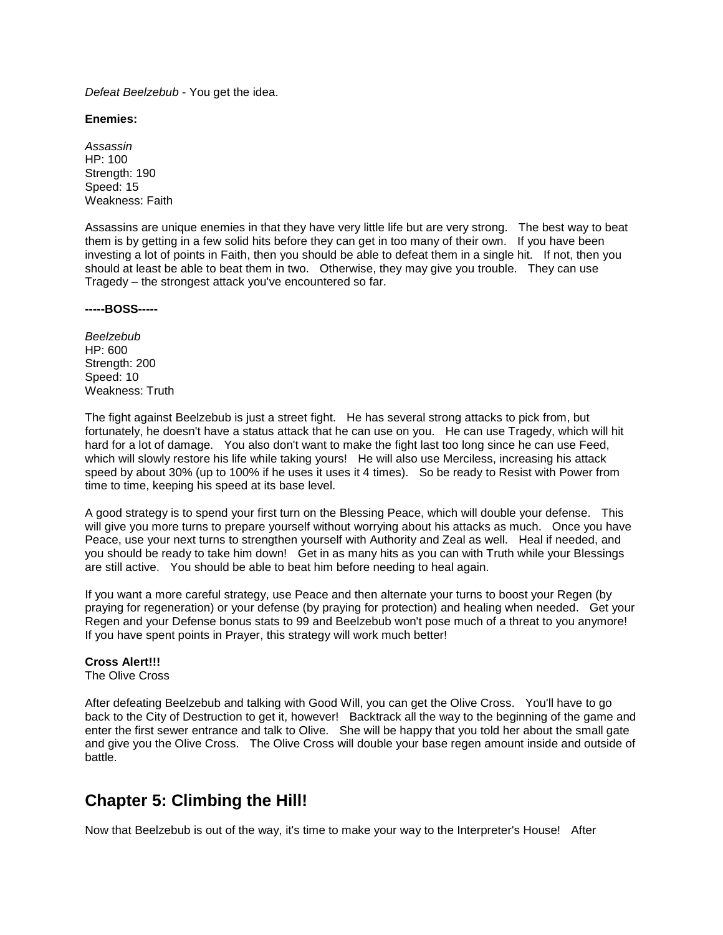*Defeat Beelzebub* - You get the idea.

#### **Enemies:**

*Assassin* HP: 100 Strength: 190 Speed: 15 Weakness: Faith

Assassins are unique enemies in that they have very little life but are very strong. The best way to beat them is by getting in a few solid hits before they can get in too many of their own. If you have been investing a lot of points in Faith, then you should be able to defeat them in a single hit. If not, then you should at least be able to beat them in two. Otherwise, they may give you trouble. They can use Tragedy – the strongest attack you've encountered so far.

**-----BOSS-----**

*Beelzebub* HP: 600 Strength: 200 Speed: 10 Weakness: Truth

The fight against Beelzebub is just a street fight. He has several strong attacks to pick from, but fortunately, he doesn't have a status attack that he can use on you. He can use Tragedy, which will hit hard for a lot of damage. You also don't want to make the fight last too long since he can use Feed, which will slowly restore his life while taking yours! He will also use Merciless, increasing his attack speed by about 30% (up to 100% if he uses it uses it 4 times). So be ready to Resist with Power from time to time, keeping his speed at its base level.

A good strategy is to spend your first turn on the Blessing Peace, which will double your defense. This will give you more turns to prepare yourself without worrying about his attacks as much. Once you have Peace, use your next turns to strengthen yourself with Authority and Zeal as well. Heal if needed, and you should be ready to take him down! Get in as many hits as you can with Truth while your Blessings are still active. You should be able to beat him before needing to heal again.

If you want a more careful strategy, use Peace and then alternate your turns to boost your Regen (by praying for regeneration) or your defense (by praying for protection) and healing when needed. Get your Regen and your Defense bonus stats to 99 and Beelzebub won't pose much of a threat to you anymore! If you have spent points in Prayer, this strategy will work much better!

### **Cross Alert!!!**

The Olive Cross

After defeating Beelzebub and talking with Good Will, you can get the Olive Cross. You'll have to go back to the City of Destruction to get it, however! Backtrack all the way to the beginning of the game and enter the first sewer entrance and talk to Olive. She will be happy that you told her about the small gate and give you the Olive Cross. The Olive Cross will double your base regen amount inside and outside of battle.

# **Chapter 5: Climbing the Hill!**

Now that Beelzebub is out of the way, it's time to make your way to the Interpreter's House! After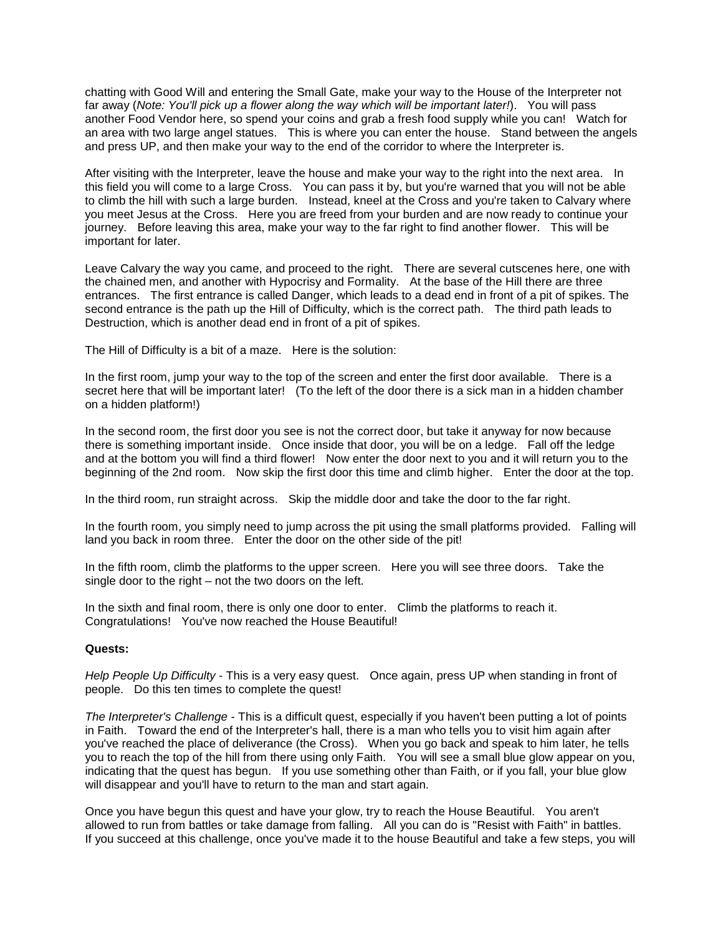chatting with Good Will and entering the Small Gate, make your way to the House of the Interpreter not far away (*Note: You'll pick up a flower along the way which will be important later!*). You will pass another Food Vendor here, so spend your coins and grab a fresh food supply while you can! Watch for an area with two large angel statues. This is where you can enter the house. Stand between the angels and press UP, and then make your way to the end of the corridor to where the Interpreter is.

After visiting with the Interpreter, leave the house and make your way to the right into the next area. In this field you will come to a large Cross. You can pass it by, but you're warned that you will not be able to climb the hill with such a large burden. Instead, kneel at the Cross and you're taken to Calvary where you meet Jesus at the Cross. Here you are freed from your burden and are now ready to continue your journey. Before leaving this area, make your way to the far right to find another flower. This will be important for later.

Leave Calvary the way you came, and proceed to the right. There are several cutscenes here, one with the chained men, and another with Hypocrisy and Formality. At the base of the Hill there are three entrances. The first entrance is called Danger, which leads to a dead end in front of a pit of spikes. The second entrance is the path up the Hill of Difficulty, which is the correct path. The third path leads to Destruction, which is another dead end in front of a pit of spikes.

The Hill of Difficulty is a bit of a maze. Here is the solution:

In the first room, jump your way to the top of the screen and enter the first door available. There is a secret here that will be important later! (To the left of the door there is a sick man in a hidden chamber on a hidden platform!)

In the second room, the first door you see is not the correct door, but take it anyway for now because there is something important inside. Once inside that door, you will be on a ledge. Fall off the ledge and at the bottom you will find a third flower! Now enter the door next to you and it will return you to the beginning of the 2nd room. Now skip the first door this time and climb higher. Enter the door at the top.

In the third room, run straight across. Skip the middle door and take the door to the far right.

In the fourth room, you simply need to jump across the pit using the small platforms provided. Falling will land you back in room three. Enter the door on the other side of the pit!

In the fifth room, climb the platforms to the upper screen. Here you will see three doors. Take the single door to the right – not the two doors on the left.

In the sixth and final room, there is only one door to enter. Climb the platforms to reach it. Congratulations! You've now reached the House Beautiful!

### **Quests:**

*Help People Up Difficulty* - This is a very easy quest. Once again, press UP when standing in front of people. Do this ten times to complete the quest!

*The Interpreter's Challenge* - This is a difficult quest, especially if you haven't been putting a lot of points in Faith. Toward the end of the Interpreter's hall, there is a man who tells you to visit him again after you've reached the place of deliverance (the Cross). When you go back and speak to him later, he tells you to reach the top of the hill from there using only Faith. You will see a small blue glow appear on you, indicating that the quest has begun. If you use something other than Faith, or if you fall, your blue glow will disappear and you'll have to return to the man and start again.

Once you have begun this quest and have your glow, try to reach the House Beautiful. You aren't allowed to run from battles or take damage from falling. All you can do is "Resist with Faith" in battles. If you succeed at this challenge, once you've made it to the house Beautiful and take a few steps, you will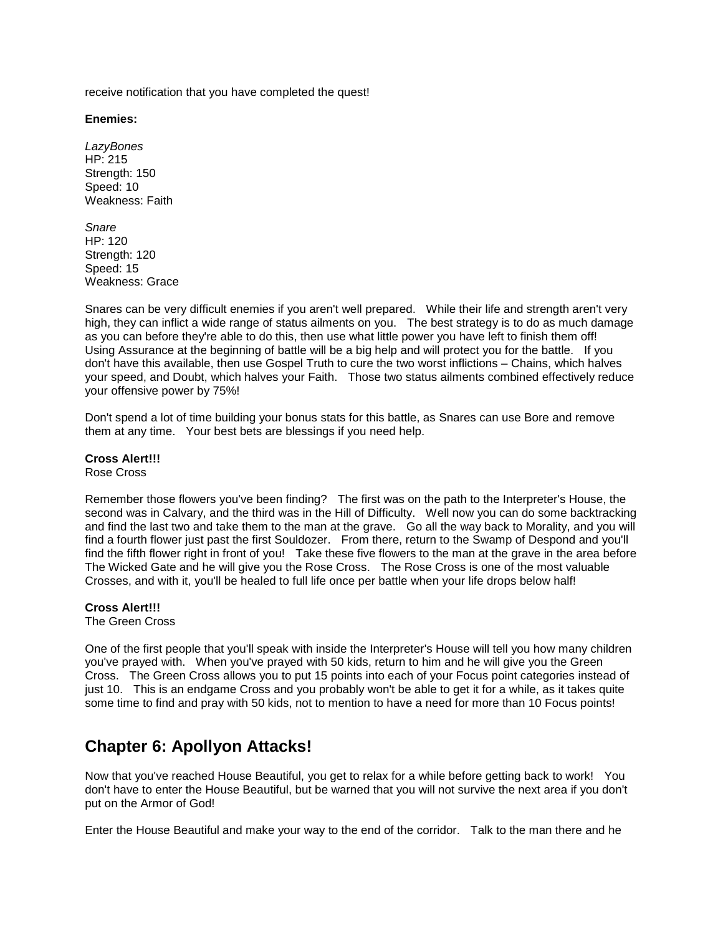receive notification that you have completed the quest!

**Enemies:**

*LazyBones* HP: 215 Strength: 150 Speed: 10 Weakness: Faith

*Snare* HP: 120 Strength: 120 Speed: 15 Weakness: Grace

Snares can be very difficult enemies if you aren't well prepared. While their life and strength aren't very high, they can inflict a wide range of status ailments on you. The best strategy is to do as much damage as you can before they're able to do this, then use what little power you have left to finish them off! Using Assurance at the beginning of battle will be a big help and will protect you for the battle. If you don't have this available, then use Gospel Truth to cure the two worst inflictions – Chains, which halves your speed, and Doubt, which halves your Faith. Those two status ailments combined effectively reduce your offensive power by 75%!

Don't spend a lot of time building your bonus stats for this battle, as Snares can use Bore and remove them at any time. Your best bets are blessings if you need help.

**Cross Alert!!!** Rose Cross

Remember those flowers you've been finding? The first was on the path to the Interpreter's House, the second was in Calvary, and the third was in the Hill of Difficulty. Well now you can do some backtracking and find the last two and take them to the man at the grave. Go all the way back to Morality, and you will find a fourth flower just past the first Souldozer. From there, return to the Swamp of Despond and you'll find the fifth flower right in front of you! Take these five flowers to the man at the grave in the area before The Wicked Gate and he will give you the Rose Cross. The Rose Cross is one of the most valuable Crosses, and with it, you'll be healed to full life once per battle when your life drops below half!

**Cross Alert!!!**

The Green Cross

One of the first people that you'll speak with inside the Interpreter's House will tell you how many children you've prayed with. When you've prayed with 50 kids, return to him and he will give you the Green Cross. The Green Cross allows you to put 15 points into each of your Focus point categories instead of just 10. This is an endgame Cross and you probably won't be able to get it for a while, as it takes quite some time to find and pray with 50 kids, not to mention to have a need for more than 10 Focus points!

# **Chapter 6: Apollyon Attacks!**

Now that you've reached House Beautiful, you get to relax for a while before getting back to work! You don't have to enter the House Beautiful, but be warned that you will not survive the next area if you don't put on the Armor of God!

Enter the House Beautiful and make your way to the end of the corridor. Talk to the man there and he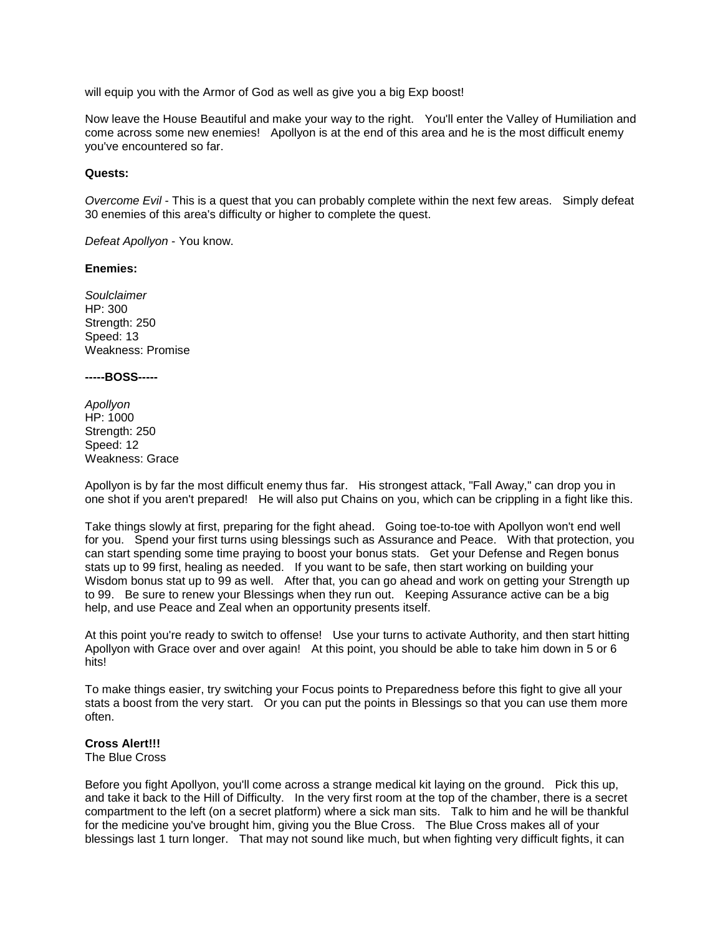will equip you with the Armor of God as well as give you a big Exp boost!

Now leave the House Beautiful and make your way to the right. You'll enter the Valley of Humiliation and come across some new enemies! Apollyon is at the end of this area and he is the most difficult enemy you've encountered so far.

#### **Quests:**

*Overcome Evil* - This is a quest that you can probably complete within the next few areas. Simply defeat 30 enemies of this area's difficulty or higher to complete the quest.

*Defeat Apollyon* - You know.

#### **Enemies:**

*Soulclaimer* HP: 300 Strength: 250 Speed: 13 Weakness: Promise

#### **-----BOSS-----**

*Apollyon* HP: 1000 Strength: 250 Speed: 12 Weakness: Grace

Apollyon is by far the most difficult enemy thus far. His strongest attack, "Fall Away," can drop you in one shot if you aren't prepared! He will also put Chains on you, which can be crippling in a fight like this.

Take things slowly at first, preparing for the fight ahead. Going toe-to-toe with Apollyon won't end well for you. Spend your first turns using blessings such as Assurance and Peace. With that protection, you can start spending some time praying to boost your bonus stats. Get your Defense and Regen bonus stats up to 99 first, healing as needed. If you want to be safe, then start working on building your Wisdom bonus stat up to 99 as well. After that, you can go ahead and work on getting your Strength up to 99. Be sure to renew your Blessings when they run out. Keeping Assurance active can be a big help, and use Peace and Zeal when an opportunity presents itself.

At this point you're ready to switch to offense! Use your turns to activate Authority, and then start hitting Apollyon with Grace over and over again! At this point, you should be able to take him down in 5 or 6 hits!

To make things easier, try switching your Focus points to Preparedness before this fight to give all your stats a boost from the very start. Or you can put the points in Blessings so that you can use them more often.

### **Cross Alert!!!**

The Blue Cross

Before you fight Apollyon, you'll come across a strange medical kit laying on the ground. Pick this up, and take it back to the Hill of Difficulty. In the very first room at the top of the chamber, there is a secret compartment to the left (on a secret platform) where a sick man sits. Talk to him and he will be thankful for the medicine you've brought him, giving you the Blue Cross. The Blue Cross makes all of your blessings last 1 turn longer. That may not sound like much, but when fighting very difficult fights, it can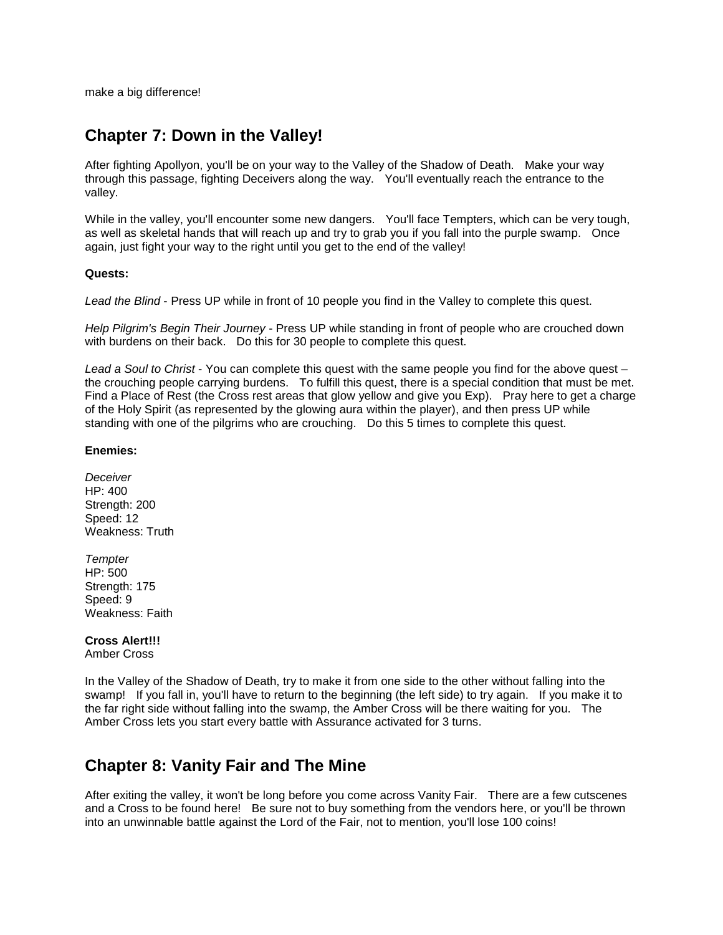make a big difference!

# **Chapter 7: Down in the Valley!**

After fighting Apollyon, you'll be on your way to the Valley of the Shadow of Death. Make your way through this passage, fighting Deceivers along the way. You'll eventually reach the entrance to the valley.

While in the valley, you'll encounter some new dangers. You'll face Tempters, which can be very tough, as well as skeletal hands that will reach up and try to grab you if you fall into the purple swamp. Once again, just fight your way to the right until you get to the end of the valley!

### **Quests:**

*Lead the Blind* - Press UP while in front of 10 people you find in the Valley to complete this quest.

*Help Pilgrim's Begin Their Journey* - Press UP while standing in front of people who are crouched down with burdens on their back. Do this for 30 people to complete this quest.

*Lead a Soul to Christ* - You can complete this quest with the same people you find for the above quest – the crouching people carrying burdens. To fulfill this quest, there is a special condition that must be met. Find a Place of Rest (the Cross rest areas that glow yellow and give you Exp). Pray here to get a charge of the Holy Spirit (as represented by the glowing aura within the player), and then press UP while standing with one of the pilgrims who are crouching. Do this 5 times to complete this quest.

## **Enemies:**

*Deceiver* HP: 400 Strength: 200 Speed: 12 Weakness: Truth

*Tempter* HP: 500 Strength: 175 Speed: 9 Weakness: Faith

# **Cross Alert!!!**

Amber Cross

In the Valley of the Shadow of Death, try to make it from one side to the other without falling into the swamp! If you fall in, you'll have to return to the beginning (the left side) to try again. If you make it to the far right side without falling into the swamp, the Amber Cross will be there waiting for you. The Amber Cross lets you start every battle with Assurance activated for 3 turns.

# **Chapter 8: Vanity Fair and The Mine**

After exiting the valley, it won't be long before you come across Vanity Fair. There are a few cutscenes and a Cross to be found here! Be sure not to buy something from the vendors here, or you'll be thrown into an unwinnable battle against the Lord of the Fair, not to mention, you'll lose 100 coins!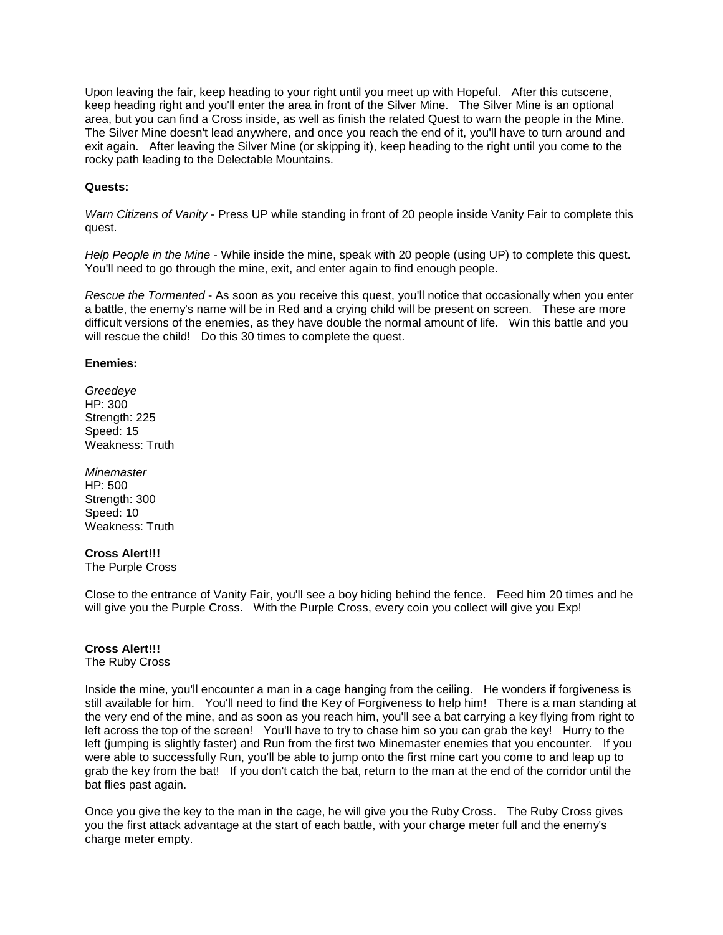Upon leaving the fair, keep heading to your right until you meet up with Hopeful. After this cutscene, keep heading right and you'll enter the area in front of the Silver Mine. The Silver Mine is an optional area, but you can find a Cross inside, as well as finish the related Quest to warn the people in the Mine. The Silver Mine doesn't lead anywhere, and once you reach the end of it, you'll have to turn around and exit again. After leaving the Silver Mine (or skipping it), keep heading to the right until you come to the rocky path leading to the Delectable Mountains.

### **Quests:**

*Warn Citizens of Vanity* - Press UP while standing in front of 20 people inside Vanity Fair to complete this quest.

*Help People in the Mine* - While inside the mine, speak with 20 people (using UP) to complete this quest. You'll need to go through the mine, exit, and enter again to find enough people.

*Rescue the Tormented* - As soon as you receive this quest, you'll notice that occasionally when you enter a battle, the enemy's name will be in Red and a crying child will be present on screen. These are more difficult versions of the enemies, as they have double the normal amount of life. Win this battle and you will rescue the child! Do this 30 times to complete the quest.

#### **Enemies:**

*Greedeye* HP: 300 Strength: 225 Speed: 15 Weakness: Truth

*Minemaster* HP: 500 Strength: 300 Speed: 10 Weakness: Truth

### **Cross Alert!!!**

The Purple Cross

Close to the entrance of Vanity Fair, you'll see a boy hiding behind the fence. Feed him 20 times and he will give you the Purple Cross. With the Purple Cross, every coin you collect will give you Exp!

### **Cross Alert!!!**

The Ruby Cross

Inside the mine, you'll encounter a man in a cage hanging from the ceiling. He wonders if forgiveness is still available for him. You'll need to find the Key of Forgiveness to help him! There is a man standing at the very end of the mine, and as soon as you reach him, you'll see a bat carrying a key flying from right to left across the top of the screen! You'll have to try to chase him so you can grab the key! Hurry to the left (jumping is slightly faster) and Run from the first two Minemaster enemies that you encounter. If you were able to successfully Run, you'll be able to jump onto the first mine cart you come to and leap up to grab the key from the bat! If you don't catch the bat, return to the man at the end of the corridor until the bat flies past again.

Once you give the key to the man in the cage, he will give you the Ruby Cross. The Ruby Cross gives you the first attack advantage at the start of each battle, with your charge meter full and the enemy's charge meter empty.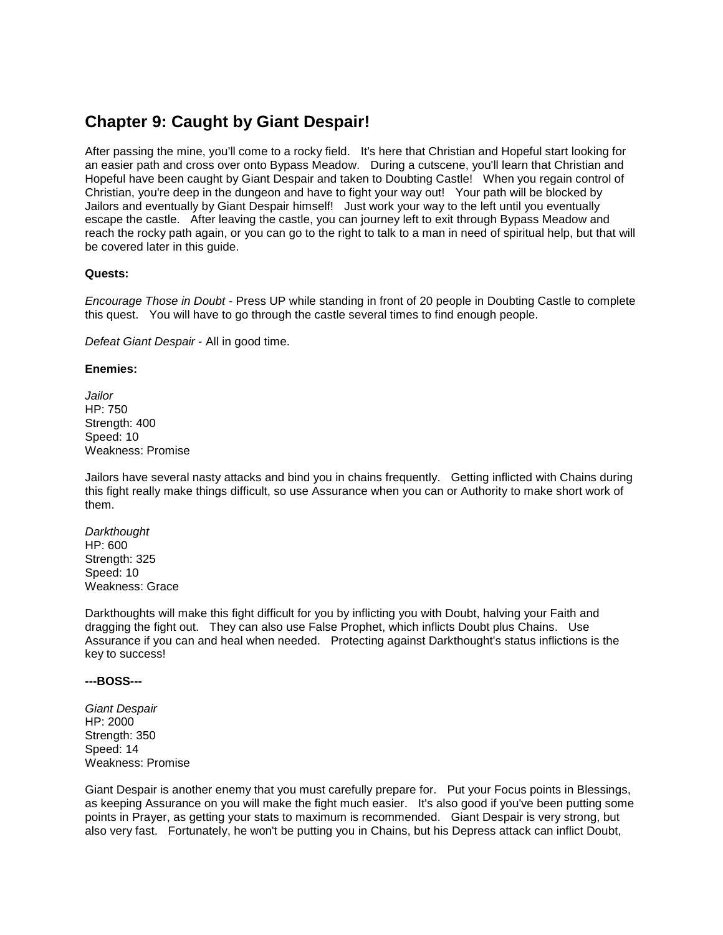# **Chapter 9: Caught by Giant Despair!**

After passing the mine, you'll come to a rocky field. It's here that Christian and Hopeful start looking for an easier path and cross over onto Bypass Meadow. During a cutscene, you'll learn that Christian and Hopeful have been caught by Giant Despair and taken to Doubting Castle! When you regain control of Christian, you're deep in the dungeon and have to fight your way out! Your path will be blocked by Jailors and eventually by Giant Despair himself! Just work your way to the left until you eventually escape the castle. After leaving the castle, you can journey left to exit through Bypass Meadow and reach the rocky path again, or you can go to the right to talk to a man in need of spiritual help, but that will be covered later in this guide.

#### **Quests:**

*Encourage Those in Doubt* - Press UP while standing in front of 20 people in Doubting Castle to complete this quest. You will have to go through the castle several times to find enough people.

*Defeat Giant Despair* - All in good time.

#### **Enemies:**

*Jailor* HP: 750 Strength: 400 Speed: 10 Weakness: Promise

Jailors have several nasty attacks and bind you in chains frequently. Getting inflicted with Chains during this fight really make things difficult, so use Assurance when you can or Authority to make short work of them.

*Darkthought* HP: 600 Strength: 325 Speed: 10 Weakness: Grace

Darkthoughts will make this fight difficult for you by inflicting you with Doubt, halving your Faith and dragging the fight out. They can also use False Prophet, which inflicts Doubt plus Chains. Use Assurance if you can and heal when needed. Protecting against Darkthought's status inflictions is the key to success!

#### **---BOSS---**

*Giant Despair* HP: 2000 Strength: 350 Speed: 14 Weakness: Promise

Giant Despair is another enemy that you must carefully prepare for. Put your Focus points in Blessings, as keeping Assurance on you will make the fight much easier. It's also good if you've been putting some points in Prayer, as getting your stats to maximum is recommended. Giant Despair is very strong, but also very fast. Fortunately, he won't be putting you in Chains, but his Depress attack can inflict Doubt,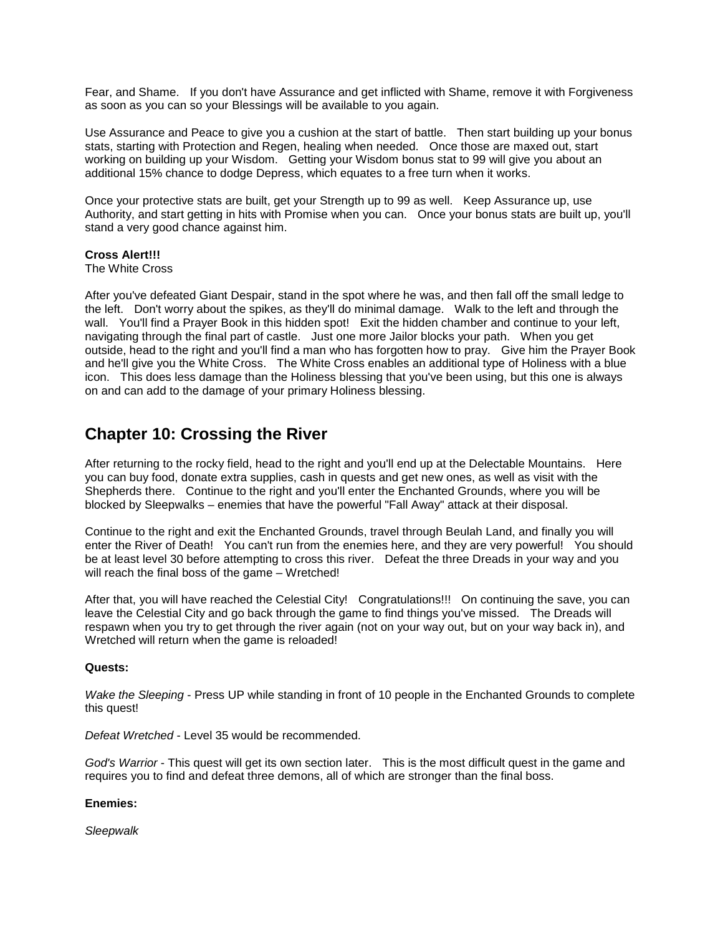Fear, and Shame. If you don't have Assurance and get inflicted with Shame, remove it with Forgiveness as soon as you can so your Blessings will be available to you again.

Use Assurance and Peace to give you a cushion at the start of battle. Then start building up your bonus stats, starting with Protection and Regen, healing when needed. Once those are maxed out, start working on building up your Wisdom. Getting your Wisdom bonus stat to 99 will give you about an additional 15% chance to dodge Depress, which equates to a free turn when it works.

Once your protective stats are built, get your Strength up to 99 as well. Keep Assurance up, use Authority, and start getting in hits with Promise when you can. Once your bonus stats are built up, you'll stand a very good chance against him.

### **Cross Alert!!!**

The White Cross

After you've defeated Giant Despair, stand in the spot where he was, and then fall off the small ledge to the left. Don't worry about the spikes, as they'll do minimal damage. Walk to the left and through the wall. You'll find a Prayer Book in this hidden spot! Exit the hidden chamber and continue to your left, navigating through the final part of castle. Just one more Jailor blocks your path. When you get outside, head to the right and you'll find a man who has forgotten how to pray. Give him the Prayer Book and he'll give you the White Cross. The White Cross enables an additional type of Holiness with a blue icon. This does less damage than the Holiness blessing that you've been using, but this one is always on and can add to the damage of your primary Holiness blessing.

# **Chapter 10: Crossing the River**

After returning to the rocky field, head to the right and you'll end up at the Delectable Mountains. Here you can buy food, donate extra supplies, cash in quests and get new ones, as well as visit with the Shepherds there. Continue to the right and you'll enter the Enchanted Grounds, where you will be blocked by Sleepwalks – enemies that have the powerful "Fall Away" attack at their disposal.

Continue to the right and exit the Enchanted Grounds, travel through Beulah Land, and finally you will enter the River of Death! You can't run from the enemies here, and they are very powerful! You should be at least level 30 before attempting to cross this river. Defeat the three Dreads in your way and you will reach the final boss of the game – Wretched!

After that, you will have reached the Celestial City! Congratulations!!! On continuing the save, you can leave the Celestial City and go back through the game to find things you've missed. The Dreads will respawn when you try to get through the river again (not on your way out, but on your way back in), and Wretched will return when the game is reloaded!

### **Quests:**

*Wake the Sleeping* - Press UP while standing in front of 10 people in the Enchanted Grounds to complete this quest!

*Defeat Wretched* - Level 35 would be recommended.

*God's Warrior* - This quest will get its own section later. This is the most difficult quest in the game and requires you to find and defeat three demons, all of which are stronger than the final boss.

### **Enemies:**

*Sleepwalk*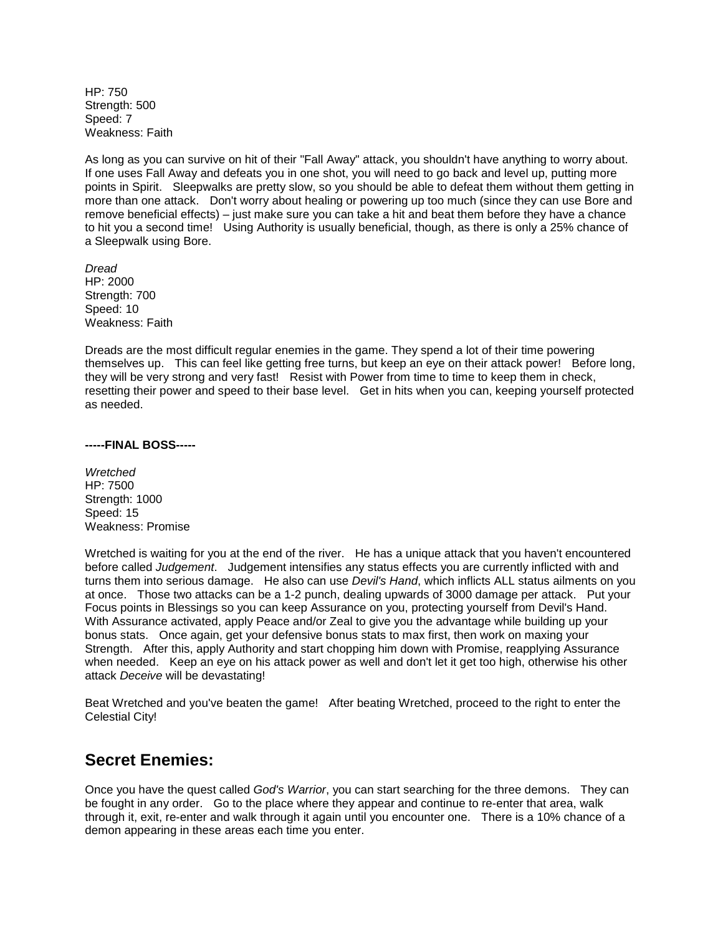$HP: 750$ Strength: 500 Speed: 7 Weakness: Faith

As long as you can survive on hit of their "Fall Away" attack, you shouldn't have anything to worry about. If one uses Fall Away and defeats you in one shot, you will need to go back and level up, putting more points in Spirit. Sleepwalks are pretty slow, so you should be able to defeat them without them getting in more than one attack. Don't worry about healing or powering up too much (since they can use Bore and remove beneficial effects) – just make sure you can take a hit and beat them before they have a chance to hit you a second time! Using Authority is usually beneficial, though, as there is only a 25% chance of a Sleepwalk using Bore.

*Dread* HP: 2000 Strength: 700 Speed: 10 Weakness: Faith

Dreads are the most difficult regular enemies in the game. They spend a lot of their time powering themselves up. This can feel like getting free turns, but keep an eye on their attack power! Before long, they will be very strong and very fast! Resist with Power from time to time to keep them in check, resetting their power and speed to their base level. Get in hits when you can, keeping yourself protected as needed.

#### **-----FINAL BOSS-----**

*Wretched* HP: 7500 Strength: 1000 Speed: 15 Weakness: Promise

Wretched is waiting for you at the end of the river. He has a unique attack that you haven't encountered before called *Judgement*. Judgement intensifies any status effects you are currently inflicted with and turns them into serious damage. He also can use *Devil's Hand*, which inflicts ALL status ailments on you at once. Those two attacks can be a 1-2 punch, dealing upwards of 3000 damage per attack. Put your Focus points in Blessings so you can keep Assurance on you, protecting yourself from Devil's Hand. With Assurance activated, apply Peace and/or Zeal to give you the advantage while building up your bonus stats. Once again, get your defensive bonus stats to max first, then work on maxing your Strength. After this, apply Authority and start chopping him down with Promise, reapplying Assurance when needed. Keep an eye on his attack power as well and don't let it get too high, otherwise his other attack *Deceive* will be devastating!

Beat Wretched and you've beaten the game! After beating Wretched, proceed to the right to enter the Celestial City!

# **Secret Enemies:**

Once you have the quest called *God's Warrior*, you can start searching for the three demons. They can be fought in any order. Go to the place where they appear and continue to re-enter that area, walk through it, exit, re-enter and walk through it again until you encounter one. There is a 10% chance of a demon appearing in these areas each time you enter.